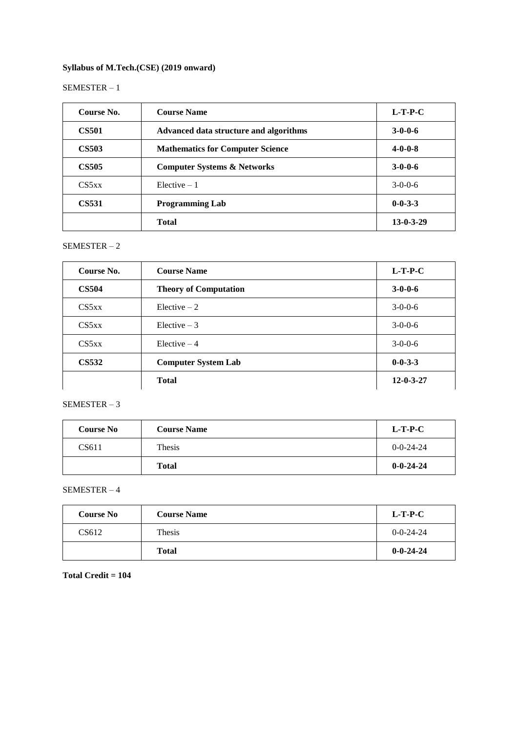### **Syllabus of M.Tech.(CSE) (2019 onward)**

### SEMESTER – 1

| Course No.   | <b>Course Name</b>                      | $L-T-P-C$         |
|--------------|-----------------------------------------|-------------------|
| <b>CS501</b> | Advanced data structure and algorithms  | $3 - 0 - 0 - 6$   |
| <b>CS503</b> | <b>Mathematics for Computer Science</b> | $4 - 0 - 0 - 8$   |
| <b>CS505</b> | <b>Computer Systems &amp; Networks</b>  | $3 - 0 - 0 - 6$   |
| CS5xx        | $Elective-1$                            | $3-0-0-6$         |
| <b>CS531</b> | <b>Programming Lab</b>                  | $0 - 0 - 3 - 3$   |
|              | <b>Total</b>                            | $13 - 0 - 3 - 29$ |

### SEMESTER – 2

| Course No.   | <b>Course Name</b>           | $L-T-P-C$         |
|--------------|------------------------------|-------------------|
| <b>CS504</b> | <b>Theory of Computation</b> | $3 - 0 - 0 - 6$   |
| CS5xx        | Elective $-2$                | $3-0-0-6$         |
| CS5xx        | Elective $-3$                | $3-0-0-6$         |
| CS5xx        | Elective $-4$                | $3-0-0-6$         |
| <b>CS532</b> | <b>Computer System Lab</b>   | $0 - 0 - 3 - 3$   |
|              | <b>Total</b>                 | $12 - 0 - 3 - 27$ |

### SEMESTER – 3

| <b>Course No</b> | <b>Course Name</b> | $L-T-P-C$         |
|------------------|--------------------|-------------------|
| CS611            | Thesis             | $0 - 0 - 24 - 24$ |
|                  | <b>Total</b>       | $0 - 0 - 24 - 24$ |

### SEMESTER – 4

| <b>Course No</b> | <b>Course Name</b> | $L-T-P-C$         |
|------------------|--------------------|-------------------|
| CS612            | Thesis             | $0 - 0 - 24 - 24$ |
|                  | <b>Total</b>       | $0 - 0 - 24 - 24$ |

### **Total Credit = 104**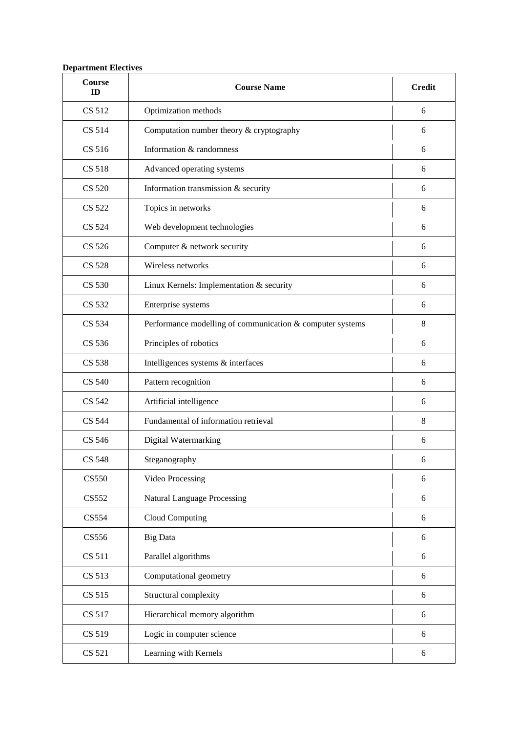## **Department Electives**

| Course<br>ID  | <b>Course Name</b>                                        | <b>Credit</b> |
|---------------|-----------------------------------------------------------|---------------|
| CS 512        | Optimization methods                                      | 6             |
| CS 514        | Computation number theory & cryptography                  | 6             |
| CS 516        | Information & randomness                                  | 6             |
| <b>CS 518</b> | Advanced operating systems                                | 6             |
| <b>CS 520</b> | Information transmission & security                       | 6             |
| CS 522        | Topics in networks                                        | 6             |
| CS 524        | Web development technologies                              | 6             |
| CS 526        | Computer & network security                               | 6             |
| <b>CS 528</b> | Wireless networks                                         | 6             |
| CS 530        | Linux Kernels: Implementation & security                  | 6             |
| CS 532        | Enterprise systems                                        | 6             |
| CS 534        | Performance modelling of communication & computer systems | 8             |
| CS 536        | Principles of robotics                                    | 6             |
| CS 538        | Intelligences systems & interfaces                        | 6             |
| CS 540        | Pattern recognition                                       | 6             |
| CS 542        | Artificial intelligence                                   | 6             |
| <b>CS 544</b> | Fundamental of information retrieval                      | 8             |
| CS 546        | Digital Watermarking                                      | 6             |
| <b>CS 548</b> | Steganography                                             | 6             |
| <b>CS550</b>  | Video Processing                                          | 6             |
| CS552         | <b>Natural Language Processing</b>                        | 6             |
| CS554         | Cloud Computing                                           | 6             |
| <b>CS556</b>  | <b>Big Data</b>                                           | 6             |
| CS 511        | Parallel algorithms                                       | 6             |
| CS 513        | Computational geometry                                    | 6             |
| CS 515        | Structural complexity                                     | 6             |
| CS 517        | Hierarchical memory algorithm                             | 6             |
| CS 519        | Logic in computer science                                 | 6             |
| CS 521        | Learning with Kernels                                     | 6             |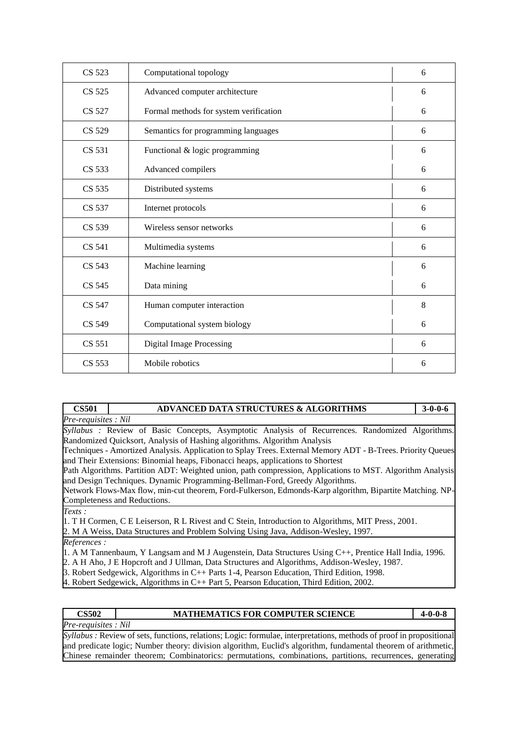| CS 523        | Computational topology                 | 6 |
|---------------|----------------------------------------|---|
| CS 525        | Advanced computer architecture         | 6 |
| CS 527        | Formal methods for system verification | 6 |
| CS 529        | Semantics for programming languages    | 6 |
| CS 531        | Functional & logic programming         | 6 |
| CS 533        | Advanced compilers                     | 6 |
| CS 535        | Distributed systems                    | 6 |
| CS 537        | Internet protocols                     | 6 |
| CS 539        | Wireless sensor networks               | 6 |
| CS 541        | Multimedia systems                     | 6 |
| CS 543        | Machine learning                       | 6 |
| CS 545        | Data mining                            | 6 |
| CS 547        | Human computer interaction             | 8 |
| <b>CS 549</b> | Computational system biology           | 6 |
| CS 551        | <b>Digital Image Processing</b>        | 6 |
| CS 553        | Mobile robotics                        | 6 |
|               |                                        |   |

| <b>CS501</b>        | <b>ADVANCED DATA STRUCTURES &amp; ALGORITHMS</b>                                                            | $3 - 0 - 0 - 6$ |
|---------------------|-------------------------------------------------------------------------------------------------------------|-----------------|
| Pre-requisites: Nil |                                                                                                             |                 |
|                     | Syllabus : Review of Basic Concepts, Asymptotic Analysis of Recurrences. Randomized Algorithms.             |                 |
|                     | Randomized Quicksort, Analysis of Hashing algorithms. Algorithm Analysis                                    |                 |
|                     | Techniques - Amortized Analysis. Application to Splay Trees. External Memory ADT - B-Trees. Priority Queues |                 |
|                     | and Their Extensions: Binomial heaps, Fibonacci heaps, applications to Shortest                             |                 |
|                     | Path Algorithms. Partition ADT: Weighted union, path compression, Applications to MST. Algorithm Analysis   |                 |
|                     | and Design Techniques. Dynamic Programming-Bellman-Ford, Greedy Algorithms.                                 |                 |
|                     | Network Flows-Max flow, min-cut theorem, Ford-Fulkerson, Edmonds-Karp algorithm, Bipartite Matching, NP-    |                 |
|                     | Completeness and Reductions.                                                                                |                 |
| Texts:              |                                                                                                             |                 |
|                     | 1. T H Cormen, C E Leiserson, R L Rivest and C Stein, Introduction to Algorithms, MIT Press, 2001.          |                 |
|                     | 2. M A Weiss, Data Structures and Problem Solving Using Java, Addison-Wesley, 1997.                         |                 |
| References:         |                                                                                                             |                 |
|                     | 1. A M Tannenbaum, Y Langsam and M J Augenstein, Data Structures Using C++, Prentice Hall India, 1996.      |                 |
|                     | 2. A H Aho, J E Hopcroft and J Ullman, Data Structures and Algorithms, Addison-Wesley, 1987.                |                 |
|                     | 3. Robert Sedgewick, Algorithms in C++ Parts 1-4, Pearson Education, Third Edition, 1998.                   |                 |

4. Robert Sedgewick, Algorithms in C++ Part 5, Pearson Education, Third Edition, 2002.

| CS502               | <b>MATHEMATICS FOR COMPUTER SCIENCE</b> | 4-0-0-8 |
|---------------------|-----------------------------------------|---------|
| Pre-requisites: Nil |                                         |         |

*Syllabus :* Review of sets, functions, relations; Logic: formulae, interpretations, methods of proof in propositional and predicate logic; Number theory: division algorithm, Euclid's algorithm, fundamental theorem of arithmetic, Chinese remainder theorem; Combinatorics: permutations, combinations, partitions, recurrences, generating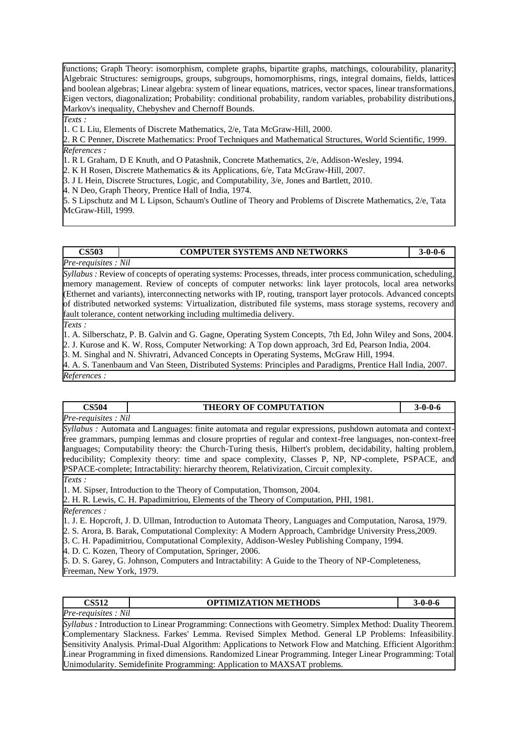functions; Graph Theory: isomorphism, complete graphs, bipartite graphs, matchings, colourability, planarity; Algebraic Structures: semigroups, groups, subgroups, homomorphisms, rings, integral domains, fields, lattices and boolean algebras; Linear algebra: system of linear equations, matrices, vector spaces, linear transformations, Eigen vectors, diagonalization; Probability: conditional probability, random variables, probability distributions, Markov's inequality, Chebyshev and Chernoff Bounds.

*Texts :* 

1. C L Liu, Elements of Discrete Mathematics, 2/e, Tata McGraw-Hill, 2000.

2. R C Penner, Discrete Mathematics: Proof Techniques and Mathematical Structures, World Scientific, 1999. *References :* 

1. R L Graham, D E Knuth, and O Patashnik, Concrete Mathematics, 2/e, Addison-Wesley, 1994.

2. K H Rosen, Discrete Mathematics & its Applications, 6/e, Tata McGraw-Hill, 2007.

3. J L Hein, Discrete Structures, Logic, and Computability, 3/e, Jones and Bartlett, 2010.

4. N Deo, Graph Theory, Prentice Hall of India, 1974.

5. S Lipschutz and M L Lipson, Schaum's Outline of Theory and Problems of Discrete Mathematics, 2/e, Tata McGraw-Hill, 1999.

**CS503 COMPUTER SYSTEMS AND NETWORKS 3-0-0-6**

*Pre-requisites : Nil*

*Syllabus :* Review of concepts of operating systems: Processes, threads, inter process communication, scheduling, memory management. Review of concepts of computer networks: link layer protocols, local area networks (Ethernet and variants), interconnecting networks with IP, routing, transport layer protocols. Advanced concepts of distributed networked systems: Virtualization, distributed file systems, mass storage systems, recovery and fault tolerance, content networking including multimedia delivery.

*Texts :* 

1. A. Silberschatz, P. B. Galvin and G. Gagne, Operating System Concepts, 7th Ed, John Wiley and Sons, 2004. 2. J. Kurose and K. W. Ross, Computer Networking: A Top down approach, 3rd Ed, Pearson India, 2004.

3. M. Singhal and N. Shivratri, Advanced Concepts in Operating Systems, McGraw Hill, 1994.

4. A. S. Tanenbaum and Van Steen, Distributed Systems: Principles and Paradigms, Prentice Hall India, 2007. *References :* 

| CS504 | <b>COMPUTATION</b><br><b>THEORY OF</b> | $\mathbf{v}$<br>. |
|-------|----------------------------------------|-------------------|
|       |                                        |                   |

*Pre-requisites : Nil*

*Syllabus :* Automata and Languages: finite automata and regular expressions, pushdown automata and contextfree grammars, pumping lemmas and closure proprties of regular and context-free languages, non-context-free languages; Computability theory: the Church-Turing thesis, Hilbert's problem, decidability, halting problem, reducibility; Complexity theory: time and space complexity, Classes P, NP, NP-complete, PSPACE, and PSPACE-complete; Intractability: hierarchy theorem, Relativization, Circuit complexity.

*Texts :* 

1. M. Sipser, Introduction to the Theory of Computation, Thomson, 2004.

2. H. R. Lewis, C. H. Papadimitriou, Elements of the Theory of Computation, PHI, 1981.

*References :* 

*Pre-requisites : Nil*

1. J. E. Hopcroft, J. D. Ullman, Introduction to Automata Theory, Languages and Computation, Narosa, 1979. 2. S. Arora, B. Barak, Computational Complexity: A Modern Approach, Cambridge University Press,2009.

3. C. H. Papadimitriou, Computational Complexity, Addison-Wesley Publishing Company, 1994.

4. D. C. Kozen, Theory of Computation, Springer, 2006.

5. D. S. Garey, G. Johnson, Computers and Intractability: A Guide to the Theory of NP-Completeness, Freeman, New York, 1979.

| <b>CS512</b><br><b>OPTIMIZATION METHODS</b><br>$3 - 0 - 0 - 6$ |
|----------------------------------------------------------------|
|----------------------------------------------------------------|

*Syllabus :* Introduction to Linear Programming: Connections with Geometry. Simplex Method: Duality Theorem. Complementary Slackness. Farkes' Lemma. Revised Simplex Method. General LP Problems: Infeasibility. Sensitivity Analysis. Primal-Dual Algorithm: Applications to Network Flow and Matching. Efficient Algorithm: Linear Programming in fixed dimensions. Randomized Linear Programming. Integer Linear Programming: Total Unimodularity. Semidefinite Programming: Application to MAXSAT problems.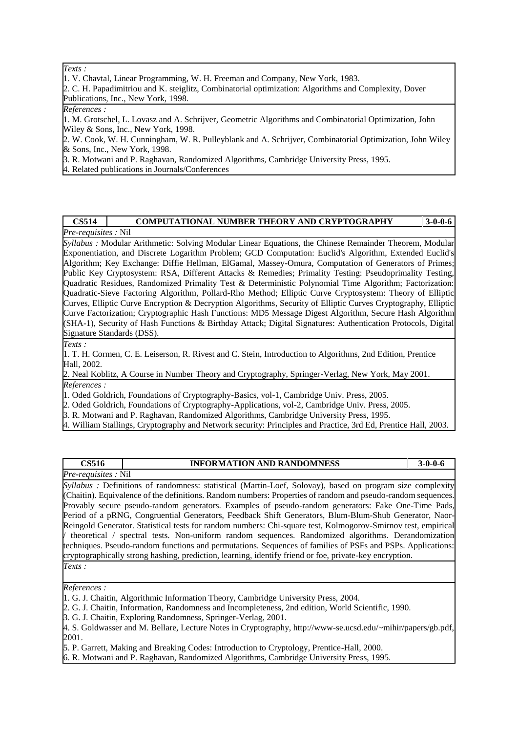*Texts :* 

1. V. Chavtal, Linear Programming, W. H. Freeman and Company, New York, 1983.

2. C. H. Papadimitriou and K. steiglitz, Combinatorial optimization: Algorithms and Complexity, Dover Publications, Inc., New York, 1998.

#### *References :*

1. M. Grotschel, L. Lovasz and A. Schrijver, Geometric Algorithms and Combinatorial Optimization, John Wiley & Sons, Inc., New York, 1998.

2. W. Cook, W. H. Cunningham, W. R. Pulleyblank and A. Schrijver, Combinatorial Optimization, John Wiley & Sons, Inc., New York, 1998.

3. R. Motwani and P. Raghavan, Randomized Algorithms, Cambridge University Press, 1995.

4. Related publications in Journals/Conferences

#### **CS514 COMPUTATIONAL NUMBER THEORY AND CRYPTOGRAPHY 3-0-0-6** *Pre-requisites :* Nil

*Syllabus :* Modular Arithmetic: Solving Modular Linear Equations, the Chinese Remainder Theorem, Modular Exponentiation, and Discrete Logarithm Problem; GCD Computation: Euclid's Algorithm, Extended Euclid's Algorithm; Key Exchange: Diffie Hellman, ElGamal, Massey-Omura, Computation of Generators of Primes; Public Key Cryptosystem: RSA, Different Attacks & Remedies; Primality Testing: Pseudoprimality Testing, Quadratic Residues, Randomized Primality Test & Deterministic Polynomial Time Algorithm; Factorization: Quadratic-Sieve Factoring Algorithm, Pollard-Rho Method; Elliptic Curve Cryptosystem: Theory of Elliptic Curves, Elliptic Curve Encryption & Decryption Algorithms, Security of Elliptic Curves Cryptography, Elliptic Curve Factorization; Cryptographic Hash Functions: MD5 Message Digest Algorithm, Secure Hash Algorithm (SHA-1), Security of Hash Functions & Birthday Attack; Digital Signatures: Authentication Protocols, Digital Signature Standards (DSS).

*Texts :* 

1. T. H. Cormen, C. E. Leiserson, R. Rivest and C. Stein, Introduction to Algorithms, 2nd Edition, Prentice Hall, 2002.

2. Neal Koblitz, A Course in Number Theory and Cryptography, Springer-Verlag, New York, May 2001. *References :* 

1. Oded Goldrich, Foundations of Cryptography-Basics, vol-1, Cambridge Univ. Press, 2005.

2. Oded Goldrich, Foundations of Cryptography-Applications, vol-2, Cambridge Univ. Press, 2005.

3. R. Motwani and P. Raghavan, Randomized Algorithms, Cambridge University Press, 1995.

4. William Stallings, Cryptography and Network security: Principles and Practice, 3rd Ed, Prentice Hall, 2003.

| <b>CS516</b>               | <b>INFORMATION AND RANDOMNESS</b> | $3-0-0-6$ |
|----------------------------|-----------------------------------|-----------|
| <i>Pre-requisites:</i> Nil |                                   |           |

*Syllabus :* Definitions of randomness: statistical (Martin-Loef, Solovay), based on program size complexity (Chaitin). Equivalence of the definitions. Random numbers: Properties of random and pseudo-random sequences. Provably secure pseudo-random generators. Examples of pseudo-random generators: Fake One-Time Pads, Period of a pRNG, Congruential Generators, Feedback Shift Generators, Blum-Blum-Shub Generator, Naor-Reingold Generator. Statistical tests for random numbers: Chi-square test, Kolmogorov-Smirnov test, empirical / theoretical / spectral tests. Non-uniform random sequences. Randomized algorithms. Derandomization techniques. Pseudo-random functions and permutations. Sequences of families of PSFs and PSPs. Applications: cryptographically strong hashing, prediction, learning, identify friend or foe, private-key encryption. *Texts :* 

*References :* 

2. G. J. Chaitin, Information, Randomness and Incompleteness, 2nd edition, World Scientific, 1990.

3. G. J. Chaitin, Exploring Randomness, Springer-Verlag, 2001.

5. P. Garrett, Making and Breaking Codes: Introduction to Cryptology, Prentice-Hall, 2000.

6. R. Motwani and P. Raghavan, Randomized Algorithms, Cambridge University Press, 1995.

<sup>1.</sup> G. J. Chaitin, Algorithmic Information Theory, Cambridge University Press, 2004.

<sup>4.</sup> S. Goldwasser and M. Bellare, Lecture Notes in Cryptography, http://www-se.ucsd.edu/~mihir/papers/gb.pdf, 2001.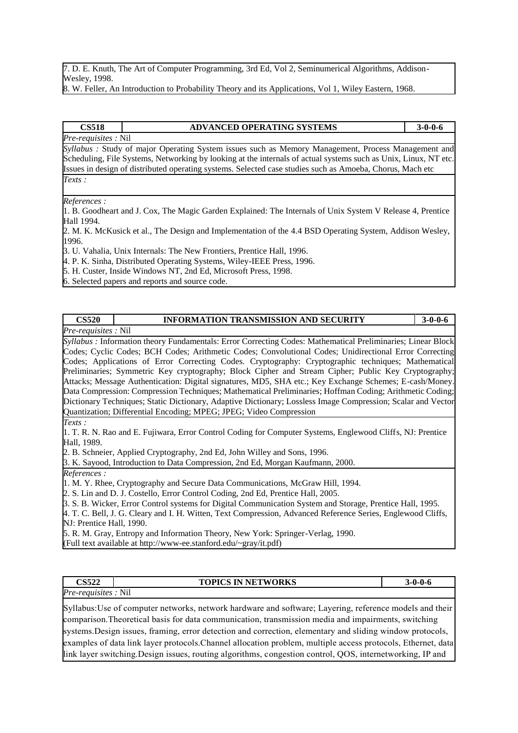7. D. E. Knuth, The Art of Computer Programming, 3rd Ed, Vol 2, Seminumerical Algorithms, Addison-Wesley, 1998.

8. W. Feller, An Introduction to Probability Theory and its Applications, Vol 1, Wiley Eastern, 1968.

### **CS518 ADVANCED OPERATING SYSTEMS 3-0-0-6** *Pre-requisites :* Nil *Syllabus :* Study of major Operating System issues such as Memory Management, Process Management and Scheduling, File Systems, Networking by looking at the internals of actual systems such as Unix, Linux, NT etc.

Issues in design of distributed operating systems. Selected case studies such as Amoeba, Chorus, Mach etc *Texts :* 

*References :* 

1. B. Goodheart and J. Cox, The Magic Garden Explained: The Internals of Unix System V Release 4, Prentice Hall 1994.

2. M. K. McKusick et al., The Design and Implementation of the 4.4 BSD Operating System, Addison Wesley, 1996.

3. U. Vahalia, Unix Internals: The New Frontiers, Prentice Hall, 1996.

4. P. K. Sinha, Distributed Operating Systems, Wiley-IEEE Press, 1996.

5. H. Custer, Inside Windows NT, 2nd Ed, Microsoft Press, 1998.

6. Selected papers and reports and source code.

### **CS520 INFORMATION TRANSMISSION AND SECURITY 3-0-0-6** *Pre-requisites :* Nil

*Syllabus :* Information theory Fundamentals: Error Correcting Codes: Mathematical Preliminaries; Linear Block Codes; Cyclic Codes; BCH Codes; Arithmetic Codes; Convolutional Codes; Unidirectional Error Correcting Codes; Applications of Error Correcting Codes. Cryptography: Cryptographic techniques; Mathematical Preliminaries; Symmetric Key cryptography; Block Cipher and Stream Cipher; Public Key Cryptography; Attacks; Message Authentication: Digital signatures, MD5, SHA etc.; Key Exchange Schemes; E-cash/Money. Data Compression: Compression Techniques; Mathematical Preliminaries; Hoffman Coding; Arithmetic Coding; Dictionary Techniques; Static Dictionary, Adaptive Dictionary; Lossless Image Compression; Scalar and Vector Quantization; Differential Encoding; MPEG; JPEG; Video Compression

*Texts :* 

1. T. R. N. Rao and E. Fujiwara, Error Control Coding for Computer Systems, Englewood Cliffs, NJ: Prentice Hall, 1989.

2. B. Schneier, Applied Cryptography, 2nd Ed, John Willey and Sons, 1996.

3. K. Sayood, Introduction to Data Compression, 2nd Ed, Morgan Kaufmann, 2000.

*References :* 

1. M. Y. Rhee, Cryptography and Secure Data Communications, McGraw Hill, 1994.

2. S. Lin and D. J. Costello, Error Control Coding, 2nd Ed, Prentice Hall, 2005.

3. S. B. Wicker, Error Control systems for Digital Communication System and Storage, Prentice Hall, 1995.

4. T. C. Bell, J. G. Cleary and I. H. Witten, Text Compression, Advanced Reference Series, Englewood Cliffs, NJ: Prentice Hall, 1990.

5. R. M. Gray, Entropy and Information Theory, New York: Springer-Verlag, 1990. (Full text available at http://www-ee.stanford.edu/~gray/it.pdf)

| <b>S522</b>                 | <b>TOPICS IN NETWORKS</b> | $3 - 0 - 0 - 6$ |
|-----------------------------|---------------------------|-----------------|
| <i>Pre-requisites</i> : Nil |                           |                 |
|                             |                           |                 |

Syllabus:Use of computer networks, network hardware and software; Layering, reference models and their comparison.Theoretical basis for data communication, transmission media and impairments, switching systems.Design issues, framing, error detection and correction, elementary and sliding window protocols, examples of data link layer protocols.Channel allocation problem, multiple access protocols, Ethernet, data link layer switching.Design issues, routing algorithms, congestion control, QOS, internetworking, IP and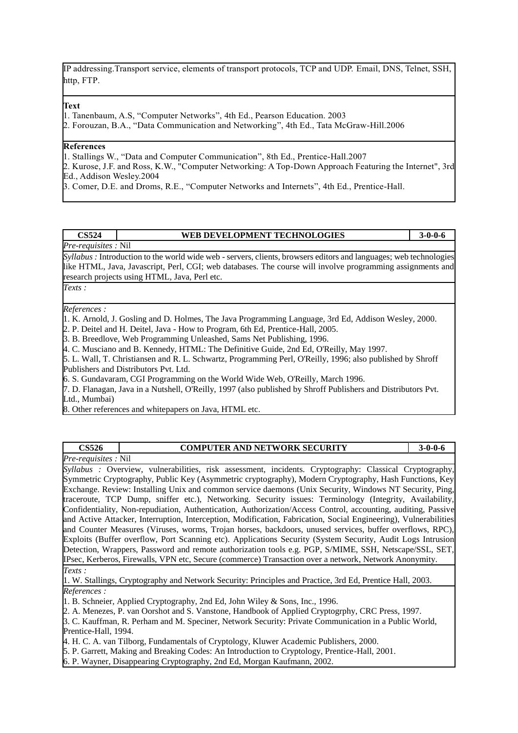IP addressing.Transport service, elements of transport protocols, TCP and UDP. Email, DNS, Telnet, SSH, http, FTP.

#### **Text**

- 1. Tanenbaum, A.S, "Computer Networks", 4th Ed., Pearson Education. 2003
- 2. Forouzan, B.A., "Data Communication and Networking", 4th Ed., Tata McGraw-Hill.2006

#### **References**

1. Stallings W., "Data and Computer Communication", 8th Ed., Prentice-Hall.2007

2. Kurose, J.F. and Ross, K.W., "Computer Networking: A Top-Down Approach Featuring the Internet", 3rd Ed., Addison Wesley.2004

3. Comer, D.E. and Droms, R.E., "Computer Networks and Internets", 4th Ed., Prentice-Hall.

#### **CS524 WEB DEVELOPMENT TECHNOLOGIES 3-0-0-6**

*Pre-requisites :* Nil

*Syllabus :* Introduction to the world wide web - servers, clients, browsers editors and languages; web technologies like HTML, Java, Javascript, Perl, CGI; web databases. The course will involve programming assignments and research projects using HTML, Java, Perl etc.

*Texts :* 

#### *References :*

1. K. Arnold, J. Gosling and D. Holmes, The Java Programming Language, 3rd Ed, Addison Wesley, 2000.

2. P. Deitel and H. Deitel, Java - How to Program, 6th Ed, Prentice-Hall, 2005.

3. B. Breedlove, Web Programming Unleashed, Sams Net Publishing, 1996.

4. C. Musciano and B. Kennedy, HTML: The Definitive Guide, 2nd Ed, O'Reilly, May 1997.

5. L. Wall, T. Christiansen and R. L. Schwartz, Programming Perl, O'Reilly, 1996; also published by Shroff Publishers and Distributors Pvt. Ltd.

6. S. Gundavaram, CGI Programming on the World Wide Web, O'Reilly, March 1996.

7. D. Flanagan, Java in a Nutshell, O'Reilly, 1997 (also published by Shroff Publishers and Distributors Pvt. Ltd., Mumbai)

8. Other references and whitepapers on Java, HTML etc.

| <b>CS526</b>                | <b>COMPUTER AND NETWORK SECURITY</b>                                                                             | $3 - 0 - 0 - 6$ |
|-----------------------------|------------------------------------------------------------------------------------------------------------------|-----------------|
| <i>Pre-requisites</i> : Nil |                                                                                                                  |                 |
|                             | Syllabus : Overview, vulnerabilities, risk assessment, incidents. Cryptography: Classical Cryptography,          |                 |
|                             | Symmetric Cryptography, Public Key (Asymmetric cryptography), Modern Cryptography, Hash Functions, Key           |                 |
|                             | Exchange. Review: Installing Unix and common service daemons (Unix Security, Windows NT Security, Ping,          |                 |
|                             | traceroute, TCP Dump, sniffer etc.), Networking. Security issues: Terminology (Integrity, Availability,          |                 |
|                             | Confidentiality, Non-repudiation, Authentication, Authorization/Access Control, accounting, auditing, Passive    |                 |
|                             | and Active Attacker, Interruption, Interception, Modification, Fabrication, Social Engineering), Vulnerabilities |                 |
|                             | and Counter Measures (Viruses, worms, Trojan horses, backdoors, unused services, buffer overflows, RPC),         |                 |
|                             | Exploits (Buffer overflow, Port Scanning etc). Applications Security (System Security, Audit Logs Intrusion      |                 |
|                             | Detection, Wrappers, Password and remote authorization tools e.g. PGP, S/MIME, SSH, Netscape/SSL, SET,           |                 |
|                             | IPsec, Kerberos, Firewalls, VPN etc, Secure (commerce) Transaction over a network, Network Anonymity.            |                 |
| Texts:                      |                                                                                                                  |                 |
|                             | [1. W. Stallings, Cryptography and Network Security: Principles and Practice, 3rd Ed, Prentice Hall, 2003.       |                 |

*References :* 

1. B. Schneier, Applied Cryptography, 2nd Ed, John Wiley & Sons, Inc., 1996.

2. A. Menezes, P. van Oorshot and S. Vanstone, Handbook of Applied Cryptogrphy, CRC Press, 1997.

3. C. Kauffman, R. Perham and M. Speciner, Network Security: Private Communication in a Public World, Prentice-Hall, 1994.

4. H. C. A. van Tilborg, Fundamentals of Cryptology, Kluwer Academic Publishers, 2000.

5. P. Garrett, Making and Breaking Codes: An Introduction to Cryptology, Prentice-Hall, 2001.

6. P. Wayner, Disappearing Cryptography, 2nd Ed, Morgan Kaufmann, 2002.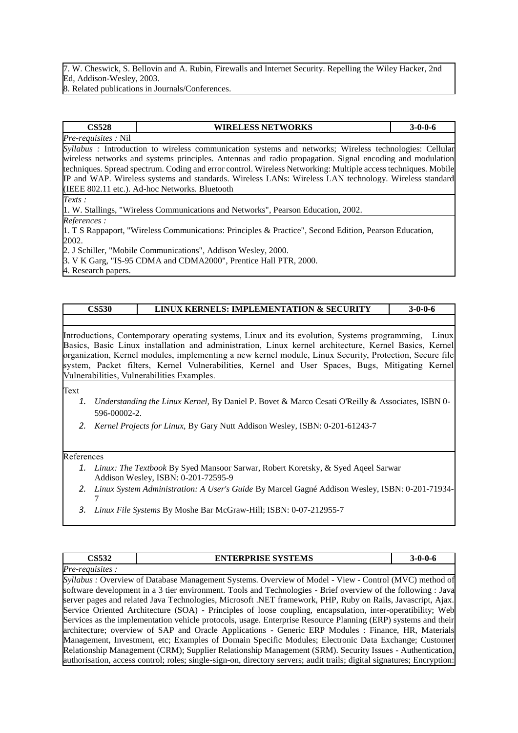7. W. Cheswick, S. Bellovin and A. Rubin, Firewalls and Internet Security. Repelling the Wiley Hacker, 2nd Ed, Addison-Wesley, 2003.

8. Related publications in Journals/Conferences.

#### **CS528 WIRELESS NETWORKS 3-0-0-6**

*Pre-requisites :* Nil *Syllabus :* Introduction to wireless communication systems and networks; Wireless technologies: Cellular wireless networks and systems principles. Antennas and radio propagation. Signal encoding and modulation techniques. Spread spectrum. Coding and error control. Wireless Networking: Multiple access techniques. Mobile IP and WAP. Wireless systems and standards. Wireless LANs: Wireless LAN technology. Wireless standard (IEEE 802.11 etc.). Ad-hoc Networks. Bluetooth

*Texts :* 

1. W. Stallings, "Wireless Communications and Networks", Pearson Education, 2002.

*References :* 

1. T S Rappaport, "Wireless Communications: Principles & Practice", Second Edition, Pearson Education, 2002.

2. J Schiller, "Mobile Communications", Addison Wesley, 2000.

3. V K Garg, "IS-95 CDMA and CDMA2000", Prentice Hall PTR, 2000.

4. Research papers.

### **CS530 LINUX KERNELS: IMPLEMENTATION & SECURITY 3-0-0-6**

Introductions, Contemporary operating systems, Linux and its evolution, Systems programming, Linux Basics, Basic Linux installation and administration, Linux kernel architecture, Kernel Basics, Kernel organization, Kernel modules, implementing a new kernel module, Linux Security, Protection, Secure file system, Packet filters, Kernel Vulnerabilities, Kernel and User Spaces, Bugs, Mitigating Kernel Vulnerabilities, Vulnerabilities Examples.

Text

- *1. Understanding the Linux Kernel,* By Daniel P. Bovet & Marco Cesati O'Reilly & Associates, ISBN 0- 596-00002-2.
- *2. Kernel Projects for Linux,* By Gary Nutt Addison Wesley, ISBN: 0-201-61243-7

#### References

- *1. Linux: The Textbook* By Syed Mansoor Sarwar, Robert Koretsky, & Syed Aqeel Sarwar Addison Wesley, ISBN: 0-201-72595-9
- *2. Linux System Administration: A User's Guide* By Marcel Gagné Addison Wesley, ISBN: 0-201-71934- 7
- *3. Linux File Systems* By Moshe Bar McGraw-Hill; ISBN: 0-07-212955-7

| <b>CS532</b>    | <b>ENTERPRISE SYSTEMS</b>                                                                                              | $3-0-0-6$ |
|-----------------|------------------------------------------------------------------------------------------------------------------------|-----------|
| Pre-requisites: |                                                                                                                        |           |
|                 | Syllabus : Overview of Database Management Systems. Overview of Model - View - Control (MVC) method of                 |           |
|                 | software development in a 3 tier environment. Tools and Technologies - Brief overview of the following: Java           |           |
|                 | server pages and related Java Technologies, Microsoft .NET framework, PHP, Ruby on Rails, Javascript, Ajax.            |           |
|                 | Service Oriented Architecture (SOA) - Principles of loose coupling, encapsulation, inter-operatibility; Web            |           |
|                 | Services as the implementation vehicle protocols, usage. Enterprise Resource Planning (ERP) systems and their          |           |
|                 | architecture; overview of SAP and Oracle Applications - Generic ERP Modules : Finance, HR, Materials                   |           |
|                 | Management, Investment, etc; Examples of Domain Specific Modules; Electronic Data Exchange; Customer                   |           |
|                 | Relationship Management (CRM); Supplier Relationship Management (SRM). Security Issues - Authentication,               |           |
|                 | authorisation, access control; roles; single-sign-on, directory servers; audit trails; digital signatures; Encryption: |           |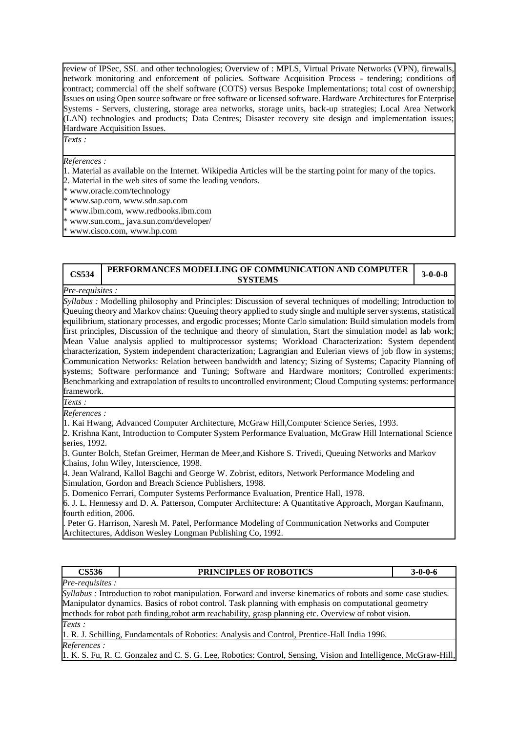review of IPSec, SSL and other technologies; Overview of : MPLS, Virtual Private Networks (VPN), firewalls, network monitoring and enforcement of policies. Software Acquisition Process - tendering; conditions of contract; commercial off the shelf software (COTS) versus Bespoke Implementations; total cost of ownership; Issues on using Open source software or free software or licensed software. Hardware Architectures for Enterprise Systems - Servers, clustering, storage area networks, storage units, back-up strategies; Local Area Network (LAN) technologies and products; Data Centres; Disaster recovery site design and implementation issues; Hardware Acquisition Issues.

*Texts :* 

*References :* 

- 1. Material as available on the Internet. Wikipedia Articles will be the starting point for many of the topics.
- 2. Material in the web sites of some the leading vendors.
- \* www.oracle.com/technology
- \* www.sap.com, www.sdn.sap.com
- \* www.ibm.com, www.redbooks.ibm.com
- \* www.sun.com,, java.sun.com/developer/
- www.cisco.com, www.hp.com

# **CS534 PERFORMANCES MODELLING OF COMMUNICATION AND COMPUTER SYSTEMS 3-0-0-8**

*Pre-requisites :* 

*Syllabus :* Modelling philosophy and Principles: Discussion of several techniques of modelling; Introduction to Queuing theory and Markov chains: Queuing theory applied to study single and multiple server systems, statistical equilibrium, stationary processes, and ergodic processes; Monte Carlo simulation: Build simulation models from first principles, Discussion of the technique and theory of simulation, Start the simulation model as lab work; Mean Value analysis applied to multiprocessor systems; Workload Characterization: System dependent characterization, System independent characterization; Lagrangian and Eulerian views of job flow in systems; Communication Networks: Relation between bandwidth and latency; Sizing of Systems; Capacity Planning of systems; Software performance and Tuning; Software and Hardware monitors; Controlled experiments: Benchmarking and extrapolation of results to uncontrolled environment; Cloud Computing systems: performance framework.

*Texts :* 

*References :* 

1. Kai Hwang, Advanced Computer Architecture, McGraw Hill,Computer Science Series, 1993.

2. Krishna Kant, Introduction to Computer System Performance Evaluation, McGraw Hill International Science series, 1992.

3. Gunter Bolch, Stefan Greimer, Herman de Meer,and Kishore S. Trivedi, Queuing Networks and Markov Chains, John Wiley, Interscience, 1998.

4. Jean Walrand, Kallol Bagchi and George W. Zobrist, editors, Network Performance Modeling and Simulation, Gordon and Breach Science Publishers, 1998.

5. Domenico Ferrari, Computer Systems Performance Evaluation, Prentice Hall, 1978.

6. J. L. Hennessy and D. A. Patterson, Computer Architecture: A Quantitative Approach, Morgan Kaufmann, fourth edition, 2006.

. Peter G. Harrison, Naresh M. Patel, Performance Modeling of Communication Networks and Computer Architectures, Addison Wesley Longman Publishing Co, 1992.

| <b>CS536</b>           | <b>PRINCIPLES OF ROBOTICS</b>                                                                                   | $3-0-0-6$ |
|------------------------|-----------------------------------------------------------------------------------------------------------------|-----------|
| <i>Pre-requisites:</i> |                                                                                                                 |           |
|                        | Syllabus: Introduction to robot manipulation. Forward and inverse kinematics of robots and some case studies.   |           |
|                        | Manipulator dynamics. Basics of robot control. Task planning with emphasis on computational geometry            |           |
|                        | methods for robot path finding, robot arm reachability, grasp planning etc. Overview of robot vision.           |           |
| Texts:                 |                                                                                                                 |           |
|                        | 1. R. J. Schilling, Fundamentals of Robotics: Analysis and Control, Prentice-Hall India 1996.                   |           |
| References:            |                                                                                                                 |           |
|                        | 1. K. S. Fu, R. C. Gonzalez and C. S. G. Lee, Robotics: Control, Sensing, Vision and Intelligence, McGraw-Hill, |           |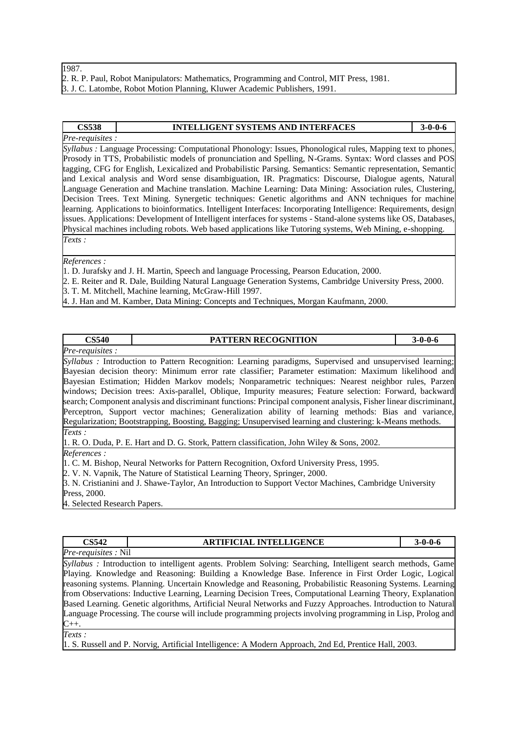| 1987.                                                                                     |
|-------------------------------------------------------------------------------------------|
| 2. R. P. Paul, Robot Manipulators: Mathematics, Programming and Control, MIT Press, 1981. |
| 3. J. C. Latombe, Robot Motion Planning, Kluwer Academic Publishers, 1991.                |

### **CS538 INTELLIGENT SYSTEMS AND INTERFACES 3-0-0-6**

*Pre-requisites : Syllabus :* Language Processing: Computational Phonology: Issues, Phonological rules, Mapping text to phones, Prosody in TTS, Probabilistic models of pronunciation and Spelling, N-Grams. Syntax: Word classes and POS tagging, CFG for English, Lexicalized and Probabilistic Parsing. Semantics: Semantic representation, Semantic and Lexical analysis and Word sense disambiguation, IR. Pragmatics: Discourse, Dialogue agents, Natural Language Generation and Machine translation. Machine Learning: Data Mining: Association rules, Clustering, Decision Trees. Text Mining. Synergetic techniques: Genetic algorithms and ANN techniques for machine learning. Applications to bioinformatics. Intelligent Interfaces: Incorporating Intelligence: Requirements, design issues. Applications: Development of Intelligent interfaces for systems - Stand-alone systems like OS, Databases, Physical machines including robots. Web based applications like Tutoring systems, Web Mining, e-shopping. *Texts :* 

#### *References :*

1. D. Jurafsky and J. H. Martin, Speech and language Processing, Pearson Education, 2000.

2. E. Reiter and R. Dale, Building Natural Language Generation Systems, Cambridge University Press, 2000. 3. T. M. Mitchell, Machine learning, McGraw-Hill 1997.

4. J. Han and M. Kamber, Data Mining: Concepts and Techniques, Morgan Kaufmann, 2000.

### **CS540 PATTERN RECOGNITION 3-0-0-6**

#### *Pre-requisites :*

*Syllabus :* Introduction to Pattern Recognition: Learning paradigms, Supervised and unsupervised learning; Bayesian decision theory: Minimum error rate classifier; Parameter estimation: Maximum likelihood and Bayesian Estimation; Hidden Markov models; Nonparametric techniques: Nearest neighbor rules, Parzen windows; Decision trees: Axis-parallel, Oblique, Impurity measures; Feature selection: Forward, backward search; Component analysis and discriminant functions: Principal component analysis, Fisher linear discriminant, Perceptron, Support vector machines; Generalization ability of learning methods: Bias and variance, Regularization; Bootstrapping, Boosting, Bagging; Unsupervised learning and clustering: k-Means methods. *Texts :* 

1. R. O. Duda, P. E. Hart and D. G. Stork, Pattern classification, John Wiley & Sons, 2002.

*References :* 

1. C. M. Bishop, Neural Networks for Pattern Recognition, Oxford University Press, 1995.

2. V. N. Vapnik, The Nature of Statistical Learning Theory, Springer, 2000.

3. N. Cristianini and J. Shawe-Taylor, An Introduction to Support Vector Machines, Cambridge University Press, 2000.

4. Selected Research Papers.

| CS542                                          | <b>ARTIFICIAL</b><br><b>LINTELLIGENCE</b> | $3-0-0-6$ |
|------------------------------------------------|-------------------------------------------|-----------|
| Pre-<br>N <sub>il</sub><br><i>requisites</i> . |                                           |           |

*Syllabus :* Introduction to intelligent agents. Problem Solving: Searching, Intelligent search methods, Game Playing. Knowledge and Reasoning: Building a Knowledge Base. Inference in First Order Logic, Logical reasoning systems. Planning. Uncertain Knowledge and Reasoning, Probabilistic Reasoning Systems. Learning from Observations: Inductive Learning, Learning Decision Trees, Computational Learning Theory, Explanation Based Learning. Genetic algorithms, Artificial Neural Networks and Fuzzy Approaches. Introduction to Natural Language Processing. The course will include programming projects involving programming in Lisp, Prolog and  $C_{++}.$ 

*Texts :* 

1. S. Russell and P. Norvig, Artificial Intelligence: A Modern Approach, 2nd Ed, Prentice Hall, 2003.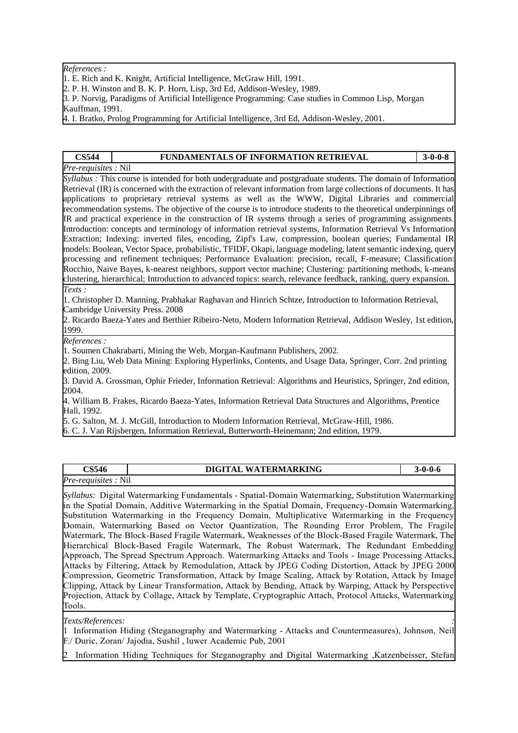*References :* 

- 1. E. Rich and K. Knight, Artificial Intelligence, McGraw Hill, 1991.
- 2. P. H. Winston and B. K. P. Horn, Lisp, 3rd Ed, Addison-Wesley, 1989.

3. P. Norvig, Paradigms of Artificial Intelligence Programming: Case studies in Common Lisp, Morgan Kauffman, 1991.

4. I. Bratko, Prolog Programming for Artificial Intelligence, 3rd Ed, Addison-Wesley, 2001.

### **CS544 FUNDAMENTALS OF INFORMATION RETRIEVAL 3-0-0-8**

*Pre-requisites :* Nil

*Syllabus :* This course is intended for both undergraduate and postgraduate students. The domain of Information Retrieval (IR) is concerned with the extraction of relevant information from large collections of documents. It has applications to proprietary retrieval systems as well as the WWW, Digital Libraries and commercial recommendation systems. The objective of the course is to introduce students to the theoretical underpinnings of IR and practical experience in the construction of IR systems through a series of programming assignments. Introduction: concepts and terminology of information retrieval systems, Information Retrieval Vs Information Extraction; Indexing: inverted files, encoding, Zipf's Law, compression, boolean queries; Fundamental IR models: Boolean, Vector Space, probabilistic, TFIDF, Okapi, language modeling, latent semantic indexing, query processing and refinement techniques; Performance Evaluation: precision, recall, F-measure; Classification: Rocchio, Naive Bayes, k-nearest neighbors, support vector machine; Clustering: partitioning methods, k-means clustering, hierarchical; Introduction to advanced topics: search, relevance feedback, ranking, query expansion. *Texts :* 

1. Christopher D. Manning, Prabhakar Raghavan and Hinrich Schtze, Introduction to Information Retrieval, Cambridge University Press. 2008

2. Ricardo Baeza-Yates and Berthier Ribeiro-Neto, Modern Information Retrieval, Addison Wesley, 1st edition, 1999.

*References :* 

1. Soumen Chakrabarti, Mining the Web, Morgan-Kaufmann Publishers, 2002.

2. Bing Liu, Web Data Mining: Exploring Hyperlinks, Contents, and Usage Data, Springer, Corr. 2nd printing edition, 2009.

3. David A. Grossman, Ophir Frieder, Information Retrieval: Algorithms and Heuristics, Springer, 2nd edition, 2004.

4. William B. Frakes, Ricardo Baeza-Yates, Information Retrieval Data Structures and Algorithms, Prentice Hall, 1992.

5. G. Salton, M. J. McGill, Introduction to Modern Information Retrieval, McGraw-Hill, 1986.

6. C. J. Van Rijsbergen, Information Retrieval, Butterworth-Heinemann; 2nd edition, 1979.

### **CS546 DIGITAL WATERMARKING 3-0-0-6** *Pre-requisites :* Nil

*Syllabus:* Digital Watermarking Fundamentals - Spatial-Domain Watermarking, Substitution Watermarking in the Spatial Domain, Additive Watermarking in the Spatial Domain, Frequency-Domain Watermarking, Substitution Watermarking in the Frequency Domain, Multiplicative Watermarking in the Frequency Domain, Watermarking Based on Vector Quantization, The Rounding Error Problem, The Fragile Watermark, The Block-Based Fragile Watermark, Weaknesses of the Block-Based Fragile Watermark, The Hierarchical Block-Based Fragile Watermark, The Robust Watermark, The Redundant Embedding Approach, The Spread Spectrum Approach. Watermarking Attacks and Tools - Image Processing Attacks, Attacks by Filtering, Attack by Remodulation, Attack by JPEG Coding Distortion, Attack by JPEG 2000 Compression, Geometric Transformation, Attack by Image Scaling, Attack by Rotation, Attack by Image Clipping, Attack by Linear Transformation, Attack by Bending, Attack by Warping, Attack by Perspective Projection, Attack by Collage, Attack by Template, Cryptographic Attach, Protocol Attacks, Watermarking Tools.

#### *Texts/References: :*

1 Information Hiding (Steganography and Watermarking - Attacks and Countermeasures), Johnson, Neil F./ Duric, Zoran/ Jajodia, Sushil , luwer Academic Pub, 2001

2 Information Hiding Techniques for Steganography and Digital Watermarking ,Katzenbeisser, Stefan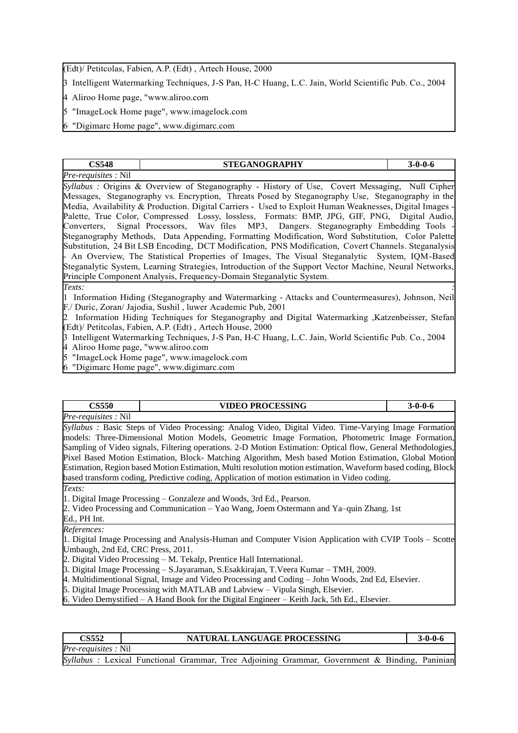(Edt)/ Petitcolas, Fabien, A.P. (Edt) , Artech House, 2000

3 Intelligent Watermarking Techniques, J-S Pan, H-C Huang, L.C. Jain, World Scientific Pub. Co., 2004

4 Aliroo Home page, "www.aliroo.com

5 "ImageLock Home page", www.imagelock.com

6 "Digimarc Home page", www.digimarc.com

| <b>CS548</b>                                                                                            |  | <b>STEGANOGRAPHY</b> |  | $3 - 0 - 0 - 6$ |
|---------------------------------------------------------------------------------------------------------|--|----------------------|--|-----------------|
| <i>Pre-requisites</i> : Nil                                                                             |  |                      |  |                 |
| Syllabus: Origins & Overview of Steganography - History of Use, Covert Messaging, Null Cipher           |  |                      |  |                 |
| Messages, Steganography vs. Encryption, Threats Posed by Steganography Use, Steganography in the        |  |                      |  |                 |
| Media, Availability & Production. Digital Carriers - Used to Exploit Human Weaknesses, Digital Images - |  |                      |  |                 |
| Palette, True Color, Compressed Lossy, lossless, Formats: BMP, JPG, GIF, PNG, Digital Audio,            |  |                      |  |                 |
| Converters, Signal Processors, Wav files MP3, Dangers. Steganography Embedding Tools -                  |  |                      |  |                 |
| Steganography Methods, Data Appending, Formatting Modification, Word Substitution, Color Palette        |  |                      |  |                 |
| Substitution, 24 Bit LSB Encoding, DCT Modification, PNS Modification, Covert Channels. Steganalysis    |  |                      |  |                 |
| - An Overview, The Statistical Properties of Images, The Visual Steganalytic System, IQM-Based          |  |                      |  |                 |
| Steganalytic System, Learning Strategies, Introduction of the Support Vector Machine, Neural Networks,  |  |                      |  |                 |
| Principle Component Analysis, Frequency-Domain Steganalytic System.                                     |  |                      |  |                 |
| Texts:                                                                                                  |  |                      |  |                 |

1 Information Hiding (Steganography and Watermarking - Attacks and Countermeasures), Johnson, Neil F./ Duric, Zoran/ Jajodia, Sushil , luwer Academic Pub, 2001

2 Information Hiding Techniques for Steganography and Digital Watermarking ,Katzenbeisser, Stefan (Edt)/ Petitcolas, Fabien, A.P. (Edt) , Artech House, 2000

3 Intelligent Watermarking Techniques, J-S Pan, H-C Huang, L.C. Jain, World Scientific Pub. Co., 2004 4 Aliroo Home page, "www.aliroo.com

5 "ImageLock Home page", www.imagelock.com

6 "Digimarc Home page", www.digimarc.com

| <b>CS550</b>                      | <b>VIDEO PROCESSING</b>                                                                                      | $3 - 0 - 0 - 6$ |
|-----------------------------------|--------------------------------------------------------------------------------------------------------------|-----------------|
| <i>Pre-requisites</i> : Nil       |                                                                                                              |                 |
|                                   | Syllabus: Basic Steps of Video Processing: Analog Video, Digital Video. Time-Varying Image Formation         |                 |
|                                   | models: Three-Dimensional Motion Models, Geometric Image Formation, Photometric Image Formation,             |                 |
|                                   | Sampling of Video signals, Filtering operations. 2-D Motion Estimation: Optical flow, General Methodologies, |                 |
|                                   | Pixel Based Motion Estimation, Block- Matching Algorithm, Mesh based Motion Estimation, Global Motion        |                 |
|                                   | Estimation, Region based Motion Estimation, Multi resolution motion estimation, Waveform based coding, Block |                 |
|                                   | based transform coding, Predictive coding, Application of motion estimation in Video coding.                 |                 |
| Texts:                            |                                                                                                              |                 |
|                                   | 1. Digital Image Processing – Gonzaleze and Woods, 3rd Ed., Pearson.                                         |                 |
|                                   | 2. Video Processing and Communication – Yao Wang, Joem Ostermann and Ya–quin Zhang. 1st                      |                 |
| Ed., PH Int.                      |                                                                                                              |                 |
| References:                       |                                                                                                              |                 |
|                                   | 1. Digital Image Processing and Analysis-Human and Computer Vision Application with CVIP Tools – Scotte      |                 |
| Umbaugh, 2nd Ed, CRC Press, 2011. |                                                                                                              |                 |
|                                   | 2. Digital Video Processing – M. Tekalp, Prentice Hall International.                                        |                 |
|                                   | 3. Digital Image Processing – S.Jayaraman, S.Esakkirajan, T.Veera Kumar – TMH, 2009.                         |                 |

4. Multidimentional Signal, Image and Video Processing and Coding – John Woods, 2nd Ed, Elsevier.

5. Digital Image Processing with MATLAB and Labview – Vipula Singh, Elsevier.

6. Video Demystified – A Hand Book for the Digital Engineer – Keith Jack, 5th Ed., Elsevier.

| CS552                       | NATURAL LANGUAGE PROCESSING                                                                   | $3 - 0 - 0 - 6$ |
|-----------------------------|-----------------------------------------------------------------------------------------------|-----------------|
| <i>Pre-requisites</i> : Nil |                                                                                               |                 |
|                             | Syllabus : Lexical Functional Grammar, Tree Adjoining Grammar, Government & Binding, Paninian |                 |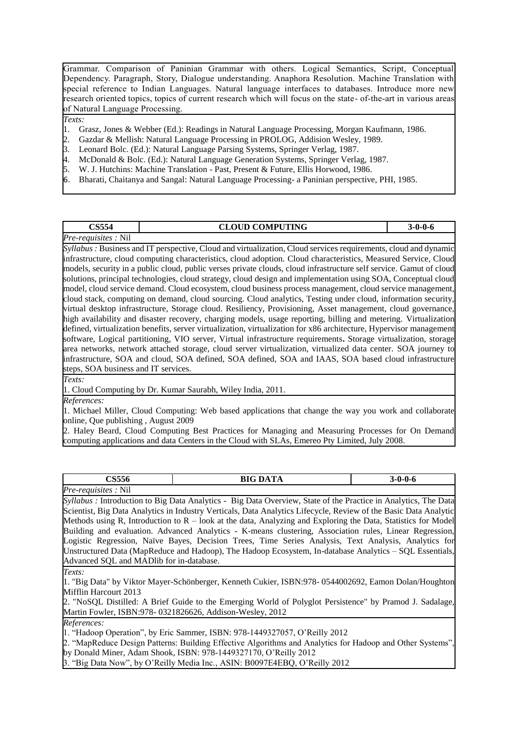Grammar. Comparison of Paninian Grammar with others. Logical Semantics, Script, Conceptual Dependency. Paragraph, Story, Dialogue understanding. Anaphora Resolution. Machine Translation with special reference to Indian Languages. Natural language interfaces to databases. Introduce more new research oriented topics, topics of current research which will focus on the state- of-the-art in various areas of Natural Language Processing.

*Texts:*

- 1. Grasz, Jones & Webber (Ed.): Readings in Natural Language Processing, Morgan Kaufmann, 1986.
- 2. Gazdar & Mellish: Natural Language Processing in PROLOG, Addision Wesley, 1989.
- 3. Leonard Bolc. (Ed.): Natural Language Parsing Systems, Springer Verlag, 1987.
- 4. McDonald & Bolc. (Ed.): Natural Language Generation Systems, Springer Verlag, 1987.
- 5. W. J. Hutchins: Machine Translation Past, Present & Future, Ellis Horwood, 1986.
- 6. Bharati, Chaitanya and Sangal: Natural Language Processing- a Paninian perspective, PHI, 1985.

#### **CS554 CLOUD COMPUTING 3-0-0-6** *Pre-requisites :* Nil

*Syllabus :* Business and IT perspective, Cloud and virtualization, Cloud services requirements, cloud and dynamic infrastructure, cloud computing characteristics, cloud adoption. Cloud characteristics, Measured Service, Cloud models, security in a public cloud, public verses private clouds, cloud infrastructure self service. Gamut of cloud solutions, principal technologies, cloud strategy, cloud design and implementation using SOA, Conceptual cloud model, cloud service demand. Cloud ecosystem, cloud business process management, cloud service management, cloud stack, computing on demand, cloud sourcing. Cloud analytics, Testing under cloud, information security, virtual desktop infrastructure, Storage cloud. Resiliency, Provisioning, Asset management, cloud governance, high availability and disaster recovery, charging models, usage reporting, billing and metering. Virtualization defined, virtualization benefits, server virtualization, virtualization for x86 architecture, Hypervisor management software, Logical partitioning, VIO server, Virtual infrastructure requirements**.** Storage virtualization, storage area networks, network attached storage, cloud server virtualization, virtualized data center. SOA journey to infrastructure, SOA and cloud, SOA defined, SOA defined, SOA and IAAS, SOA based cloud infrastructure steps, SOA business and IT services.

*Texts:*

1. Cloud Computing by Dr. Kumar Saurabh, Wiley India, 2011.

*References:*

1. Michael Miller, Cloud Computing: Web based applications that change the way you work and collaborate online, Que publishing , August 2009

2. Haley Beard, Cloud Computing Best Practices for Managing and Measuring Processes for On Demand computing applications and data Centers in the Cloud with SLAs, Emereo Pty Limited, July 2008.

| $\alpha$ $\alpha$ $\alpha$<br>5556 | <b>DAT</b><br>BIG<br>. |  |
|------------------------------------|------------------------|--|
| Pre-<br>$-$<br>N11<br>requisites   |                        |  |

*Syllabus :* Introduction to Big Data Analytics - Big Data Overview, State of the Practice in Analytics, The Data Scientist, Big Data Analytics in Industry Verticals, Data Analytics Lifecycle, Review of the Basic Data Analytic Methods using R, Introduction to  $R -$  look at the data, Analyzing and Exploring the Data, Statistics for Model Building and evaluation. Advanced Analytics - K-means clustering, Association rules, Linear Regression, Logistic Regression, Naïve Bayes, Decision Trees, Time Series Analysis, Text Analysis, Analytics for Unstructured Data (MapReduce and Hadoop), The Hadoop Ecosystem, In-database Analytics – SQL Essentials, Advanced SQL and MADlib for in-database.

*Texts:*

1. "Big Data" by Viktor Mayer-Schönberger, Kenneth Cukier, ISBN:978- 0544002692, Eamon Dolan/Houghton Mifflin Harcourt 2013

2. "NoSQL Distilled: A Brief Guide to the Emerging World of Polyglot Persistence" by Pramod J. Sadalage, Martin Fowler, ISBN:978- 0321826626, Addison-Wesley, 2012

*References:*

1. "Hadoop Operation", by Eric Sammer, ISBN: 978-1449327057, O'Reilly 2012

2. "MapReduce Design Patterns: Building Effective Algorithms and Analytics for Hadoop and Other Systems", by Donald Miner, Adam Shook, ISBN: 978-1449327170, O'Reilly 2012

3. "Big Data Now", by O'Reilly Media Inc., ASIN: B0097E4EBQ, O'Reilly 2012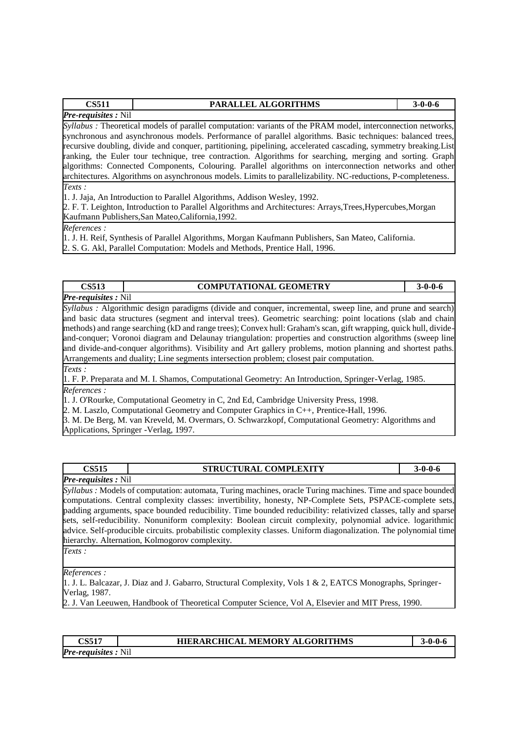| CS511                      | <b>PARALLEL ALGORITHMS</b> | $3-0-0-6$ |
|----------------------------|----------------------------|-----------|
| <b>Pre-requisites:</b> Nil |                            |           |

*Syllabus :* Theoretical models of parallel computation: variants of the PRAM model, interconnection networks, synchronous and asynchronous models. Performance of parallel algorithms. Basic techniques: balanced trees, recursive doubling, divide and conquer, partitioning, pipelining, accelerated cascading, symmetry breaking.List ranking, the Euler tour technique, tree contraction. Algorithms for searching, merging and sorting. Graph algorithms: Connected Components, Colouring. Parallel algorithms on interconnection networks and other architectures. Algorithms on asynchronous models. Limits to parallelizability. NC-reductions, P-completeness. *Texts :* 

1. J. Jaja, An Introduction to Parallel Algorithms, Addison Wesley, 1992.

2. F. T. Leighton, Introduction to Parallel Algorithms and Architectures: Arrays,Trees,Hypercubes,Morgan Kaufmann Publishers,San Mateo,California,1992.

*References :* 

1. J. H. Reif, Synthesis of Parallel Algorithms, Morgan Kaufmann Publishers, San Mateo, California.

2. S. G. Akl, Parallel Computation: Models and Methods, Prentice Hall, 1996.

### **CS513 COMPUTATIONAL GEOMETRY 3-0-0-6** *Pre-requisites :* Nil

*Syllabus :* Algorithmic design paradigms (divide and conquer, incremental, sweep line, and prune and search) and basic data structures (segment and interval trees). Geometric searching: point locations (slab and chain methods) and range searching (kD and range trees); Convex hull: Graham's scan, gift wrapping, quick hull, divideand-conquer; Voronoi diagram and Delaunay triangulation: properties and construction algorithms (sweep line and divide-and-conquer algorithms). Visibility and Art gallery problems, motion planning and shortest paths. Arrangements and duality; Line segments intersection problem; closest pair computation. *Texts :* 

1. F. P. Preparata and M. I. Shamos, Computational Geometry: An Introduction, Springer-Verlag, 1985. *References :* 

1. J. O'Rourke, Computational Geometry in C, 2nd Ed, Cambridge University Press, 1998.

2. M. Laszlo, Computational Geometry and Computer Graphics in C++, Prentice-Hall, 1996.

3. M. De Berg, M. van Kreveld, M. Overmars, O. Schwarzkopf, Computational Geometry: Algorithms and Applications, Springer -Verlag, 1997.

### **CS515 STRUCTURAL COMPLEXITY 3-0-0-6**

*Pre-requisites :* Nil

*Syllabus :* Models of computation: automata, Turing machines, oracle Turing machines. Time and space bounded computations. Central complexity classes: invertibility, honesty, NP-Complete Sets, PSPACE-complete sets, padding arguments, space bounded reducibility. Time bounded reducibility: relativized classes, tally and sparse sets, self-reducibility. Nonuniform complexity: Boolean circuit complexity, polynomial advice. logarithmic advice. Self-producible circuits. probabilistic complexity classes. Uniform diagonalization. The polynomial time hierarchy. Alternation, Kolmogorov complexity. *Texts :* 

*References :* 

1. J. L. Balcazar, J. Diaz and J. Gabarro, Structural Complexity, Vols 1 & 2, EATCS Monographs, Springer-Verlag, 1987.

2. J. Van Leeuwen, Handbook of Theoretical Computer Science, Vol A, Elsevier and MIT Press, 1990.

### **CS517 HIERARCHICAL MEMORY ALGORITHMS 3-0-0-6** *Pre-requisites :* Nil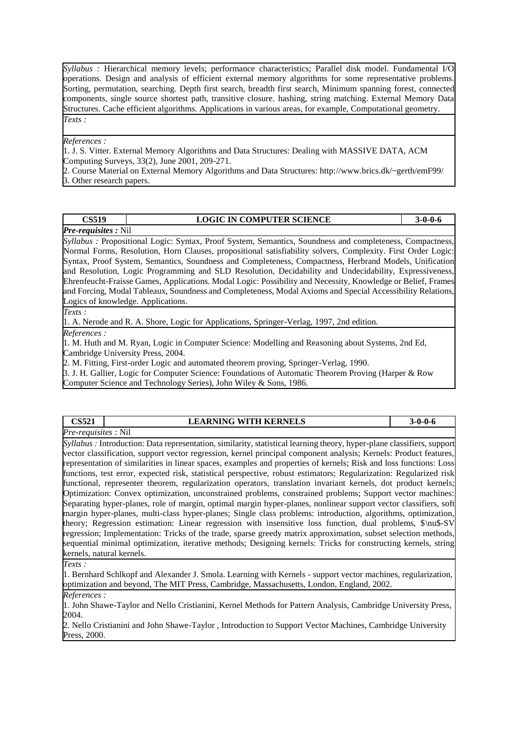*Syllabus :* Hierarchical memory levels; performance characteristics; Parallel disk model. Fundamental I/O operations. Design and analysis of efficient external memory algorithms for some representative problems. Sorting, permutation, searching. Depth first search, breadth first search, Minimum spanning forest, connected components, single source shortest path, transitive closure. hashing, string matching. External Memory Data Structures. Cache efficient algorithms. Applications in various areas, for example, Computational geometry. *Texts :* 

#### *References :*

1. J. S. Vitter. External Memory Algorithms and Data Structures: Dealing with MASSIVE DATA, ACM Computing Surveys, 33(2), June 2001, 209-271.

2. Course Material on External Memory Algorithms and Data Structures: http://www.brics.dk/~gerth/emF99/ 3. Other research papers.

| CS519                       | <b>LOGIC IN COMPUTER SCIENCE</b> |  |
|-----------------------------|----------------------------------|--|
| <b>Pre-requisites</b> : Nil |                                  |  |

*Syllabus :* Propositional Logic: Syntax, Proof System, Semantics, Soundness and completeness, Compactness, Normal Forms, Resolution, Horn Clauses, propositional satisfiability solvers, Complexity. First Order Logic: Syntax, Proof System, Semantics, Soundness and Completeness, Compactness, Herbrand Models, Unification and Resolution, Logic Programming and SLD Resolution, Decidability and Undecidability, Expressiveness, Ehrenfeucht-Fraisse Games, Applications. Modal Logic: Possibility and Necessity, Knowledge or Belief, Frames and Forcing, Modal Tableaux, Soundness and Completeness, Modal Axioms and Special Accessibility Relations, Logics of knowledge. Applications.

*Texts :* 

1. A. Nerode and R. A. Shore, Logic for Applications, Springer-Verlag, 1997, 2nd edition.

*References :* 

1. M. Huth and M. Ryan, Logic in Computer Science: Modelling and Reasoning about Systems, 2nd Ed, Cambridge University Press, 2004.

2. M. Fitting, First-order Logic and automated theorem proving, Springer-Verlag, 1990.

3. J. H. Gallier, Logic for Computer Science: Foundations of Automatic Theorem Proving (Harper & Row Computer Science and Technology Series), John Wiley & Sons, 1986.

| CS521                      | <b>LEARNING WITH KERNELS</b> | -0-0-6 |
|----------------------------|------------------------------|--------|
| <i>Pre-requisites:</i> Nil |                              |        |

*Syllabus :* Introduction: Data representation, similarity, statistical learning theory, hyper-plane classifiers, support vector classification, support vector regression, kernel principal component analysis; Kernels: Product features, representation of similarities in linear spaces, examples and properties of kernels; Risk and loss functions: Loss functions, test error, expected risk, statistical perspective, robust estimators; Regularization: Regularized risk functional, representer theorem, regularization operators, translation invariant kernels, dot product kernels; Optimization: Convex optimization, unconstrained problems, constrained problems; Support vector machines: Separating hyper-planes, role of margin, optimal margin hyper-planes, nonlinear support vector classifiers, soft margin hyper-planes, multi-class hyper-planes; Single class problems: introduction, algorithms, optimization, theory; Regression estimation: Linear regression with insensitive loss function, dual problems, \$\nu\$-SV regression; Implementation: Tricks of the trade, sparse greedy matrix approximation, subset selection methods, sequential minimal optimization, iterative methods; Designing kernels: Tricks for constructing kernels, string kernels, natural kernels.

*Texts :* 

1. Bernhard Schlkopf and Alexander J. Smola. Learning with Kernels - support vector machines, regularization, optimization and beyond, The MIT Press, Cambridge, Massachusetts, London, England, 2002.

*References :* 

1. John Shawe-Taylor and Nello Cristianini, Kernel Methods for Pattern Analysis, Cambridge University Press, 2004.

2. Nello Cristianini and John Shawe-Taylor , Introduction to Support Vector Machines, Cambridge University Press, 2000.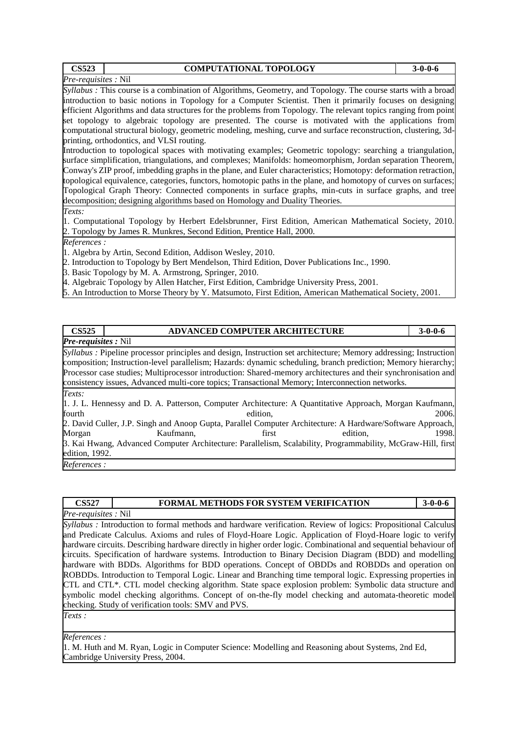| <b>CS523</b>                | <b>COMPUTATIONAL TOPOLOGY</b>                                                                                        | $3-0-0-6$ |
|-----------------------------|----------------------------------------------------------------------------------------------------------------------|-----------|
| <i>Pre-requisites</i> : Nil |                                                                                                                      |           |
|                             | <i>Syllabus</i> : This course is a combination of Algorithms, Geometry, and Topology. The course starts with a broad |           |
|                             | introduction to basic notions in Topology for a Computer Scientist. Then it primarily focuses on designing           |           |
|                             | efficient Algorithms and data structures for the problems from Topology. The relevant topics ranging from point      |           |
|                             | set topology to algebraic topology are presented. The course is motivated with the applications from                 |           |
|                             | computational structural biology, geometric modeling, meshing, curve and surface reconstruction, clustering, 3d-     |           |
|                             | printing, orthodontics, and VLSI routing.                                                                            |           |
|                             | Introduction to topological spaces with motivating examples; Geometric topology: searching a triangulation,          |           |
|                             | surface simplification, triangulations, and complexes; Manifolds: homeomorphism, Jordan separation Theorem,          |           |
|                             | Conway's ZIP proof, imbedding graphs in the plane, and Euler characteristics; Homotopy: deformation retraction,      |           |
|                             | topological equivalence, categories, functors, homotopic paths in the plane, and homotopy of curves on surfaces;     |           |
|                             | Topological Graph Theory: Connected components in surface graphs, min-cuts in surface graphs, and tree               |           |
|                             | decomposition; designing algorithms based on Homology and Duality Theories.                                          |           |

*Texts:* 

1. Computational Topology by Herbert Edelsbrunner, First Edition, American Mathematical Society, 2010. 2. Topology by James R. Munkres, Second Edition, Prentice Hall, 2000.

*References :* 

1. Algebra by Artin, Second Edition, Addison Wesley, 2010.

- 2. Introduction to Topology by Bert Mendelson, Third Edition, Dover Publications Inc., 1990.
- 3. Basic Topology by M. A. Armstrong, Springer, 2010.

4. Algebraic Topology by Allen Hatcher, First Edition, Cambridge University Press, 2001.

5. An Introduction to Morse Theory by Y. Matsumoto, First Edition, American Mathematical Society, 2001.

| <b>CS525</b>                                                                                               | <b>ADVANCED COMPUTER ARCHITECTURE</b>                                                                             |          |          | $3 - 0 - 0 - 6$ |
|------------------------------------------------------------------------------------------------------------|-------------------------------------------------------------------------------------------------------------------|----------|----------|-----------------|
| <b>Pre-requisites</b> : Nil                                                                                |                                                                                                                   |          |          |                 |
|                                                                                                            | Syllabus : Pipeline processor principles and design, Instruction set architecture; Memory addressing; Instruction |          |          |                 |
|                                                                                                            | composition; Instruction-level parallelism; Hazards: dynamic scheduling, branch prediction; Memory hierarchy;     |          |          |                 |
|                                                                                                            | Processor case studies; Multiprocessor introduction: Shared-memory architectures and their synchronisation and    |          |          |                 |
|                                                                                                            | consistency issues, Advanced multi-core topics; Transactional Memory; Interconnection networks.                   |          |          |                 |
| Texts:                                                                                                     |                                                                                                                   |          |          |                 |
| 1. J. L. Hennessy and D. A. Patterson, Computer Architecture: A Quantitative Approach, Morgan Kaufmann,    |                                                                                                                   |          |          |                 |
| fourth                                                                                                     |                                                                                                                   | edition, |          | 2006.           |
| 2. David Culler, J.P. Singh and Anoop Gupta, Parallel Computer Architecture: A Hardware/Software Approach, |                                                                                                                   |          |          |                 |
| Morgan                                                                                                     | Kaufmann.                                                                                                         | first    | edition, | 1998.           |
|                                                                                                            | 3. Kai Hwang, Advanced Computer Architecture: Parallelism, Scalability, Programmability, McGraw-Hill, first       |          |          |                 |
| edition, 1992.                                                                                             |                                                                                                                   |          |          |                 |

*References :* 

### **CS527 FORMAL METHODS FOR SYSTEM VERIFICATION 3-0-0-6**

*Pre-requisites :* Nil

*Syllabus :* Introduction to formal methods and hardware verification. Review of logics: Propositional Calculus and Predicate Calculus. Axioms and rules of Floyd-Hoare Logic. Application of Floyd-Hoare logic to verify hardware circuits. Describing hardware directly in higher order logic. Combinational and sequential behaviour of circuits. Specification of hardware systems. Introduction to Binary Decision Diagram (BDD) and modelling hardware with BDDs. Algorithms for BDD operations. Concept of OBDDs and ROBDDs and operation on ROBDDs. Introduction to Temporal Logic. Linear and Branching time temporal logic. Expressing properties in CTL and CTL\*. CTL model checking algorithm. State space explosion problem: Symbolic data structure and symbolic model checking algorithms. Concept of on-the-fly model checking and automata-theoretic model checking. Study of verification tools: SMV and PVS.

*Texts :* 

*References :* 

1. M. Huth and M. Ryan, Logic in Computer Science: Modelling and Reasoning about Systems, 2nd Ed, Cambridge University Press, 2004.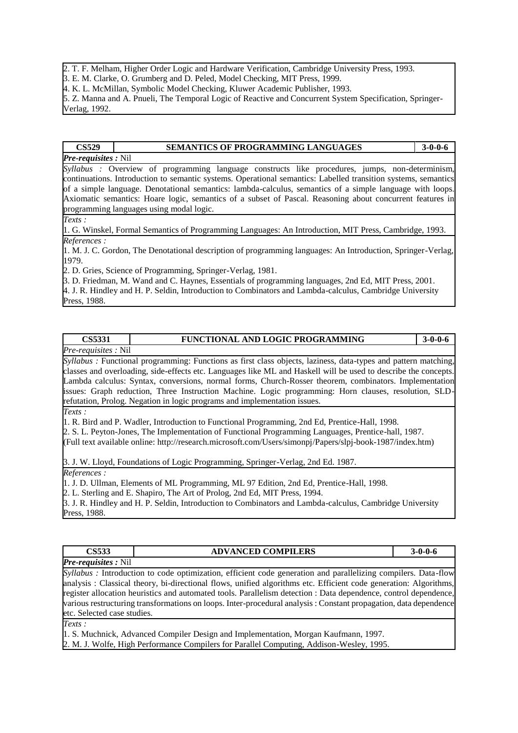2. T. F. Melham, Higher Order Logic and Hardware Verification, Cambridge University Press, 1993.

3. E. M. Clarke, O. Grumberg and D. Peled, Model Checking, MIT Press, 1999.

4. K. L. McMillan, Symbolic Model Checking, Kluwer Academic Publisher, 1993.

5. Z. Manna and A. Pnueli, The Temporal Logic of Reactive and Concurrent System Specification, Springer-Verlag, 1992.

#### **CS529 SEMANTICS OF PROGRAMMING LANGUAGES 3-0-0-6**

#### *Pre-requisites :* Nil

*Syllabus :* Overview of programming language constructs like procedures, jumps, non-determinism, continuations. Introduction to semantic systems. Operational semantics: Labelled transition systems, semantics of a simple language. Denotational semantics: lambda-calculus, semantics of a simple language with loops. Axiomatic semantics: Hoare logic, semantics of a subset of Pascal. Reasoning about concurrent features in programming languages using modal logic.

*Texts :* 

1. G. Winskel, Formal Semantics of Programming Languages: An Introduction, MIT Press, Cambridge, 1993. *References :* 

1. M. J. C. Gordon, The Denotational description of programming languages: An Introduction, Springer-Verlag, 1979.

2. D. Gries, Science of Programming, Springer-Verlag, 1981.

3. D. Friedman, M. Wand and C. Haynes, Essentials of programming languages, 2nd Ed, MIT Press, 2001. 4. J. R. Hindley and H. P. Seldin, Introduction to Combinators and Lambda-calculus, Cambridge University Press, 1988.

### **CS5331 FUNCTIONAL AND LOGIC PROGRAMMING 3-0-0-6**

*Pre-requisites :* Nil

*Syllabus :* Functional programming: Functions as first class objects, laziness, data-types and pattern matching, classes and overloading, side-effects etc. Languages like ML and Haskell will be used to describe the concepts. Lambda calculus: Syntax, conversions, normal forms, Church-Rosser theorem, combinators. Implementation issues: Graph reduction, Three Instruction Machine. Logic programming: Horn clauses, resolution, SLDrefutation, Prolog. Negation in logic programs and implementation issues.

*Texts :* 

1. R. Bird and P. Wadler, Introduction to Functional Programming, 2nd Ed, Prentice-Hall, 1998.

2. S. L. Peyton-Jones, The Implementation of Functional Programming Languages, Prentice-hall, 1987.

(Full text available online: http://research.microsoft.com/Users/simonpj/Papers/slpj-book-1987/index.htm)

3. J. W. Lloyd, Foundations of Logic Programming, Springer-Verlag, 2nd Ed. 1987.

*References :* 

1. J. D. Ullman, Elements of ML Programming, ML 97 Edition, 2nd Ed, Prentice-Hall, 1998.

2. L. Sterling and E. Shapiro, The Art of Prolog, 2nd Ed, MIT Press, 1994.

3. J. R. Hindley and H. P. Seldin, Introduction to Combinators and Lambda-calculus, Cambridge University Press, 1988.

| <b>CS533</b>                 | <b>ADVANCED COMPILERS</b>                                                                                             | $3 - 0 - 0 - 6$ |
|------------------------------|-----------------------------------------------------------------------------------------------------------------------|-----------------|
| <b>Pre-requisites:</b> Nil   |                                                                                                                       |                 |
|                              | <i>Syllabus</i> : Introduction to code optimization, efficient code generation and parallelizing compilers. Data-flow |                 |
|                              | analysis: Classical theory, bi-directional flows, unified algorithms etc. Efficient code generation: Algorithms,      |                 |
|                              | register allocation heuristics and automated tools. Parallelism detection : Data dependence, control dependence,      |                 |
|                              | various restructuring transformations on loops. Inter-procedural analysis: Constant propagation, data dependence      |                 |
| letc. Selected case studies. |                                                                                                                       |                 |

*Texts :* 

1. S. Muchnick, Advanced Compiler Design and Implementation, Morgan Kaufmann, 1997. 2. M. J. Wolfe, High Performance Compilers for Parallel Computing, Addison-Wesley, 1995.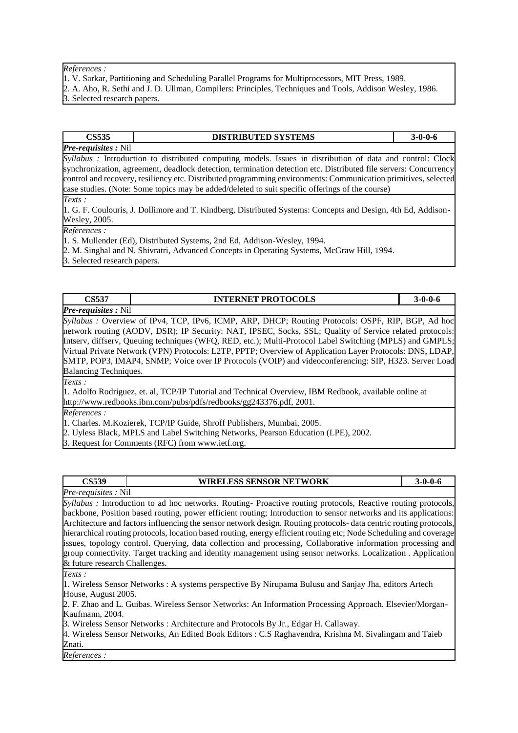#### *References :*

- 1. V. Sarkar, Partitioning and Scheduling Parallel Programs for Multiprocessors, MIT Press, 1989.
- 2. A. Aho, R. Sethi and J. D. Ullman, Compilers: Principles, Techniques and Tools, Addison Wesley, 1986. 3. Selected research papers.

## *Pre-requisites :* Nil

### **CS535 DISTRIBUTED SYSTEMS 3-0-0-6**

*Syllabus :* Introduction to distributed computing models. Issues in distribution of data and control: Clock synchronization, agreement, deadlock detection, termination detection etc. Distributed file servers: Concurrency control and recovery, resiliency etc. Distributed programming environments: Communication primitives, selected case studies. (Note: Some topics may be added/deleted to suit specific offerings of the course)

*Texts :* 

1. G. F. Coulouris, J. Dollimore and T. Kindberg, Distributed Systems: Concepts and Design, 4th Ed, Addison-Wesley, 2005.

*References :* 

1. S. Mullender (Ed), Distributed Systems, 2nd Ed, Addison-Wesley, 1994.

2. M. Singhal and N. Shivratri, Advanced Concepts in Operating Systems, McGraw Hill, 1994.

3. Selected research papers.

### **CS537 INTERNET PROTOCOLS 3-0-0-6**

*Pre-requisites :* Nil

*Syllabus :* Overview of IPv4, TCP, IPv6, ICMP, ARP, DHCP; Routing Protocols: OSPF, RIP, BGP, Ad hoc network routing (AODV, DSR); IP Security: NAT, IPSEC, Socks, SSL; Quality of Service related protocols: Intserv, diffserv, Queuing techniques (WFQ, RED, etc.); Multi-Protocol Label Switching (MPLS) and GMPLS; Virtual Private Network (VPN) Protocols: L2TP, PPTP; Overview of Application Layer Protocols: DNS, LDAP, SMTP, POP3, IMAP4, SNMP; Voice over IP Protocols (VOIP) and videoconferencing: SIP, H323. Server Load Balancing Techniques.

*Texts :* 

1. Adolfo Rodriguez, et. al, TCP/IP Tutorial and Technical Overview, IBM Redbook, available online at http://www.redbooks.ibm.com/pubs/pdfs/redbooks/gg243376.pdf, 2001.

*References :* 

1. Charles. M.Kozierek, TCP/IP Guide, Shroff Publishers, Mumbai, 2005.

2. Uyless Black, MPLS and Label Switching Networks, Pearson Education (LPE), 2002.

3. Request for Comments (RFC) from www.ietf.org.

| CS539 | <b>WIRELESS SENSOR NETWORK</b> | $.9 - 0 - 0 - 6$ |
|-------|--------------------------------|------------------|

*Pre-requisites :* Nil *Syllabus : Introduction to ad hoc networks. Routing-Proactive routing protocols, Reactive routing protocols,* backbone, Position based routing, power efficient routing; Introduction to sensor networks and its applications: Architecture and factors influencing the sensor network design. Routing protocols- data centric routing protocols, hierarchical routing protocols, location based routing, energy efficient routing etc; Node Scheduling and coverage issues, topology control. Querying, data collection and processing, Collaborative information processing and group connectivity. Target tracking and identity management using sensor networks. Localization . Application & future research Challenges.

*Texts :* 

1. Wireless Sensor Networks : A systems perspective By Nirupama Bulusu and Sanjay Jha, editors Artech House, August 2005.

2. F. Zhao and L. Guibas. Wireless Sensor Networks: An Information Processing Approach. Elsevier/Morgan-Kaufmann, 2004.

3. Wireless Sensor Networks : Architecture and Protocols By Jr., Edgar H. Callaway.

4. Wireless Sensor Networks, An Edited Book Editors : C.S Raghavendra, Krishna M. Sivalingam and Taieb Znati.

*References :*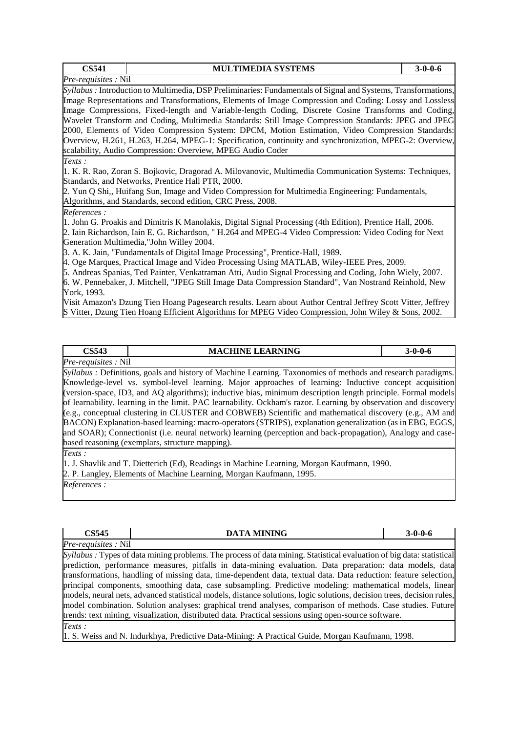| <b>CS541</b>        | <b>MULTIMEDIA SYSTEMS</b>                                                                                     | $3 - 0 - 0 - 6$ |  |  |
|---------------------|---------------------------------------------------------------------------------------------------------------|-----------------|--|--|
| Pre-requisites: Nil |                                                                                                               |                 |  |  |
|                     | Syllabus: Introduction to Multimedia, DSP Preliminaries: Fundamentals of Signal and Systems, Transformations, |                 |  |  |
|                     | Image Representations and Transformations, Elements of Image Compression and Coding: Lossy and Lossless       |                 |  |  |
|                     | Image Compressions, Fixed-length and Variable-length Coding, Discrete Cosine Transforms and Coding,           |                 |  |  |
|                     | Wavelet Transform and Coding, Multimedia Standards: Still Image Compression Standards: JPEG and JPEG          |                 |  |  |
|                     | 2000, Elements of Video Compression System: DPCM, Motion Estimation, Video Compression Standards:             |                 |  |  |
|                     | Overview, H.261, H.263, H.264, MPEG-1: Specification, continuity and synchronization, MPEG-2: Overview,       |                 |  |  |
|                     | scalability, Audio Compression: Overview, MPEG Audio Coder                                                    |                 |  |  |
| Texts:              |                                                                                                               |                 |  |  |
|                     | 1. K. R. Rao, Zoran S. Bojkovic, Dragorad A. Milovanovic, Multimedia Communication Systems: Techniques,       |                 |  |  |
|                     | Standards, and Networks, Prentice Hall PTR, 2000.                                                             |                 |  |  |
|                     | 2. Yun Q Shi,, Huifang Sun, Image and Video Compression for Multimedia Engineering: Fundamentals,             |                 |  |  |
|                     | Algorithms, and Standards, second edition, CRC Press, 2008.                                                   |                 |  |  |
| References:         |                                                                                                               |                 |  |  |
|                     | 1. John G. Proakis and Dimitris K Manolakis, Digital Signal Processing (4th Edition), Prentice Hall, 2006.    |                 |  |  |
|                     | 2. Iain Richardson, Iain E. G. Richardson, " H.264 and MPEG-4 Video Compression: Video Coding for Next        |                 |  |  |
|                     | Generation Multimedia,"John Willey 2004.                                                                      |                 |  |  |
|                     | 3. A. K. Jain, "Fundamentals of Digital Image Processing", Prentice-Hall, 1989.                               |                 |  |  |
|                     | 4. Oge Marques, Practical Image and Video Processing Using MATLAB, Wiley-IEEE Pres, 2009.                     |                 |  |  |
|                     | 5. Andreas Spanias, Ted Painter, Venkatraman Atti, Audio Signal Processing and Coding, John Wiely, 2007.      |                 |  |  |

6. W. Pennebaker, J. Mitchell, "JPEG Still Image Data Compression Standard", Van Nostrand Reinhold, New York, 1993.

Visit Amazon's Dzung Tien Hoang Pagesearch results. Learn about Author Central Jeffrey Scott Vitter, Jeffrey S Vitter, Dzung Tien Hoang Efficient Algorithms for MPEG Video Compression, John Wiley & Sons, 2002.

| CS543                      | <b>CHINE LEARNING</b><br>MA | 3-0-0-6 |
|----------------------------|-----------------------------|---------|
| <i>Pre-requisites:</i> Nil |                             |         |

*Syllabus :* Definitions, goals and history of Machine Learning. Taxonomies of methods and research paradigms. Knowledge-level vs. symbol-level learning. Major approaches of learning: Inductive concept acquisition (version-space, ID3, and AQ algorithms); inductive bias, minimum description length principle. Formal models of learnability. learning in the limit. PAC learnability. Ockham's razor. Learning by observation and discovery (e.g., conceptual clustering in CLUSTER and COBWEB) Scientific and mathematical discovery (e.g., AM and BACON) Explanation-based learning: macro-operators (STRIPS), explanation generalization (as in EBG, EGGS, and SOAR); Connectionist (i.e. neural network) learning (perception and back-propagation), Analogy and casebased reasoning (exemplars, structure mapping).

*Texts :* 

1. J. Shavlik and T. Dietterich (Ed), Readings in Machine Learning, Morgan Kaufmann, 1990. 2. P. Langley, Elements of Machine Learning, Morgan Kaufmann, 1995.

*References :* 

| <b>CS545</b>                       | <b>MINING</b><br>DА |  |
|------------------------------------|---------------------|--|
| Pre<br>$  -$<br>N11<br>reautsites. |                     |  |

*Syllabus :* Types of data mining problems. The process of data mining. Statistical evaluation of big data: statistical prediction, performance measures, pitfalls in data-mining evaluation. Data preparation: data models, data transformations, handling of missing data, time-dependent data, textual data. Data reduction: feature selection, principal components, smoothing data, case subsampling. Predictive modeling: mathematical models, linear models, neural nets, advanced statistical models, distance solutions, logic solutions, decision trees, decision rules, model combination. Solution analyses: graphical trend analyses, comparison of methods. Case studies. Future trends: text mining, visualization, distributed data. Practical sessions using open-source software. *Texts :* 

1. S. Weiss and N. Indurkhya, Predictive Data-Mining: A Practical Guide, Morgan Kaufmann, 1998.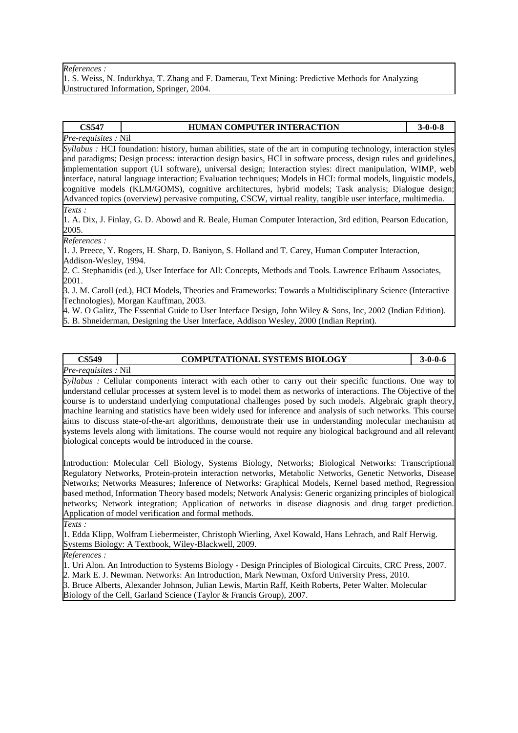#### *References :*

1. S. Weiss, N. Indurkhya, T. Zhang and F. Damerau, Text Mining: Predictive Methods for Analyzing Unstructured Information, Springer, 2004.

#### **CS547 HUMAN COMPUTER INTERACTION 3-0-0-8**

## *Pre-requisites :* Nil

*Syllabus :* HCI foundation: history, human abilities, state of the art in computing technology, interaction styles and paradigms; Design process: interaction design basics, HCI in software process, design rules and guidelines, implementation support (UI software), universal design; Interaction styles: direct manipulation, WIMP, web interface, natural language interaction; Evaluation techniques; Models in HCI: formal models, linguistic models, cognitive models (KLM/GOMS), cognitive architectures, hybrid models; Task analysis; Dialogue design; Advanced topics (overview) pervasive computing, CSCW, virtual reality, tangible user interface, multimedia.

*Texts :* 

1. A. Dix, J. Finlay, G. D. Abowd and R. Beale, Human Computer Interaction, 3rd edition, Pearson Education, 2005.

*References :* 

1. J. Preece, Y. Rogers, H. Sharp, D. Baniyon, S. Holland and T. Carey, Human Computer Interaction, Addison-Wesley, 1994.

2. C. Stephanidis (ed.), User Interface for All: Concepts, Methods and Tools. Lawrence Erlbaum Associates, 2001.

3. J. M. Caroll (ed.), HCI Models, Theories and Frameworks: Towards a Multidisciplinary Science (Interactive Technologies), Morgan Kauffman, 2003.

4. W. O Galitz, The Essential Guide to User Interface Design, John Wiley & Sons, Inc, 2002 (Indian Edition). 5. B. Shneiderman, Designing the User Interface, Addison Wesley, 2000 (Indian Reprint).

# *Pre-requisites :* Nil

#### **CS549 COMPUTATIONAL SYSTEMS BIOLOGY 3-0-0-6**

*Syllabus :* Cellular components interact with each other to carry out their specific functions. One way to understand cellular processes at system level is to model them as networks of interactions. The Objective of the course is to understand underlying computational challenges posed by such models. Algebraic graph theory, machine learning and statistics have been widely used for inference and analysis of such networks. This course aims to discuss state-of-the-art algorithms, demonstrate their use in understanding molecular mechanism at systems levels along with limitations. The course would not require any biological background and all relevant biological concepts would be introduced in the course.

Introduction: Molecular Cell Biology, Systems Biology, Networks; Biological Networks: Transcriptional Regulatory Networks, Protein-protein interaction networks, Metabolic Networks, Genetic Networks, Disease Networks; Networks Measures; Inference of Networks: Graphical Models, Kernel based method, Regression based method, Information Theory based models; Network Analysis: Generic organizing principles of biological networks; Network integration; Application of networks in disease diagnosis and drug target prediction. Application of model verification and formal methods.

*Texts :* 

1. Edda Klipp, Wolfram Liebermeister, Christoph Wierling, Axel Kowald, Hans Lehrach, and Ralf Herwig. Systems Biology: A Textbook, Wiley-Blackwell, 2009.

*References :* 

1. Uri Alon. An Introduction to Systems Biology - Design Principles of Biological Circuits, CRC Press, 2007.

2. Mark E. J. Newman. Networks: An Introduction, Mark Newman, Oxford University Press, 2010.

3. Bruce Alberts, Alexander Johnson, Julian Lewis, Martin Raff, Keith Roberts, Peter Walter. Molecular Biology of the Cell, Garland Science (Taylor & Francis Group), 2007.